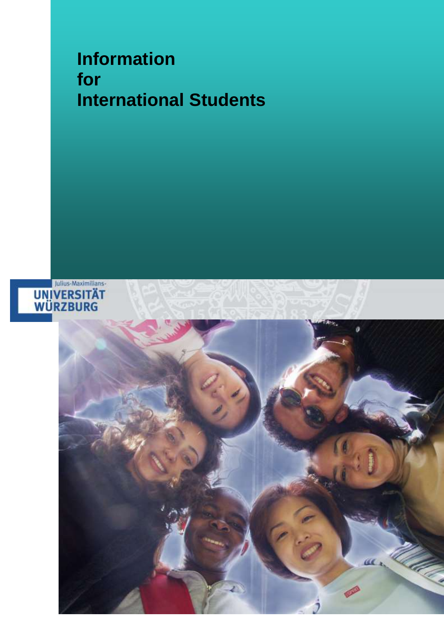# **Information for International Students**



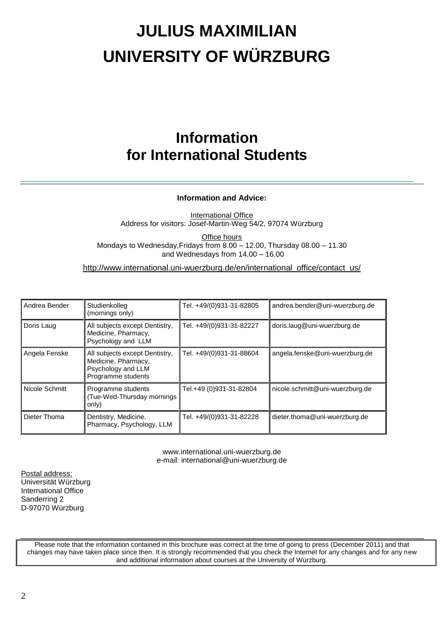# **JULIUS MAXIMILIAN UNIVERSITY OF WÜRZBURG**

## **Information for International Students**

#### **Information and Advice:**

International Office Address for visitors: Josef-Martin-Weg 54/2, 97074 Würzburg

Office hours Mondays to Wednesday,Fridays from 8.00 – 12.00, Thursday 08.00 – 11.30 and Wednesdays from 14.00 – 16.00

http://www.international.uni-wuerzburg.de/en/international\_office/contact\_us/

| Andrea Bender  | Studienkolleg<br>(mornings only)                                                                  | Tel. +49/(0)931-31-82805 | andrea.bender@uni-wuerzburg.de  |
|----------------|---------------------------------------------------------------------------------------------------|--------------------------|---------------------------------|
| Doris Laug     | All subjects except Dentistry,<br>Medicine, Pharmacy,<br>Psychology and LLM                       | Tel. +49/(0)931-31-82227 | doris.laug@uni-wuerzburg.de     |
| Angela Fenske  | All subjects except Dentistry,<br>Medicine, Pharmacy,<br>Psychology and LLM<br>Programme students | Tel. +49/(0)931-31-88604 | angela.fenske@uni-wuerzburg.de  |
| Nicole Schmitt | Programme students<br>(Tue-Wed-Thursday mornings)<br>only)                                        | Tel.+49 (0)931-31-82804  | nicole.schmitt@uni-wuerzburg.de |
| Dieter Thoma   | Dentistry, Medicine,<br>Pharmacy, Psychology, LLM                                                 | Tel. +49/(0)931-31-82228 | dieter.thoma@uni-wuerzburg.de   |

www.international.uni-wuerzburg.de e-mail: international@uni-wuerzburg.de

Postal address: Universität Würzburg International Office Sanderring 2 D-97070 Würzburg

Please note that the information contained in this brochure was correct at the time of going to press (December 2011) and that changes may have taken place since then. It is strongly recommended that you check the Internet for any changes and for any new and additional information about courses at the University of Würzburg.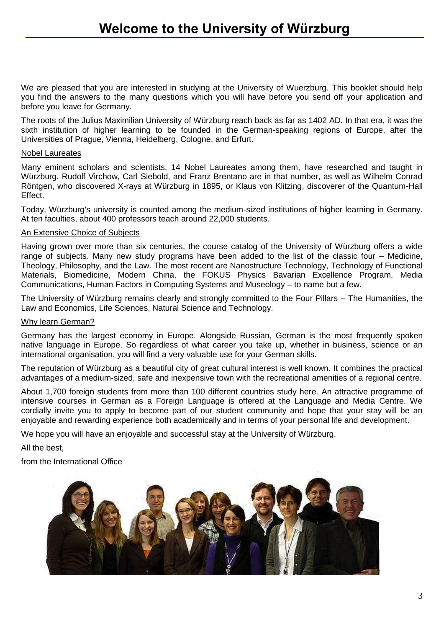We are pleased that you are interested in studying at the University of Wuerzburg. This booklet should help you find the answers to the many questions which you will have before you send off your application and before you leave for Germany.

The roots of the Julius Maximilian University of Würzburg reach back as far as 1402 AD. In that era, it was the sixth institution of higher learning to be founded in the German-speaking regions of Europe, after the Universities of Prague, Vienna, Heidelberg, Cologne, and Erfurt.

#### Nobel Laureates

Many eminent scholars and scientists, 14 Nobel Laureates among them, have researched and taught in Würzburg. Rudolf Virchow, Carl Siebold, and Franz Brentano are in that number, as well as Wilhelm Conrad Röntgen, who discovered X-rays at Würzburg in 1895, or Klaus von Klitzing, discoverer of the Quantum-Hall Effect.

Today, Würzburg's university is counted among the medium-sized institutions of higher learning in Germany. At ten faculties, about 400 professors teach around 22,000 students.

#### An Extensive Choice of Subjects

Having grown over more than six centuries, the course catalog of the University of Würzburg offers a wide range of subjects. Many new study programs have been added to the list of the classic four – Medicine, Theology, Philosophy, and the Law. The most recent are Nanostructure Technology, Technology of Functional Materials, Biomedicine, Modern China, the FOKUS Physics Bavarian Excellence Program, Media Communications, Human Factors in Computing Systems and Museology – to name but a few.

The University of Würzburg remains clearly and strongly committed to the Four Pillars – The Humanities, the Law and Economics, Life Sciences, Natural Science and Technology.

#### Why learn German?

Germany has the largest economy in Europe. Alongside Russian, German is the most frequently spoken native language in Europe. So regardless of what career you take up, whether in business, science or an international organisation, you will find a very valuable use for your German skills.

The reputation of Würzburg as a beautiful city of great cultural interest is well known. It combines the practical advantages of a medium-sized, safe and inexpensive town with the recreational amenities of a regional centre.

About 1,700 foreign students from more than 100 different countries study here. An attractive programme of intensive courses in German as a Foreign Language is offered at the Language and Media Centre. We cordially invite you to apply to become part of our student community and hope that your stay will be an enjoyable and rewarding experience both academically and in terms of your personal life and development.

We hope you will have an enjoyable and successful stay at the University of Würzburg.

All the best,

from the International Office

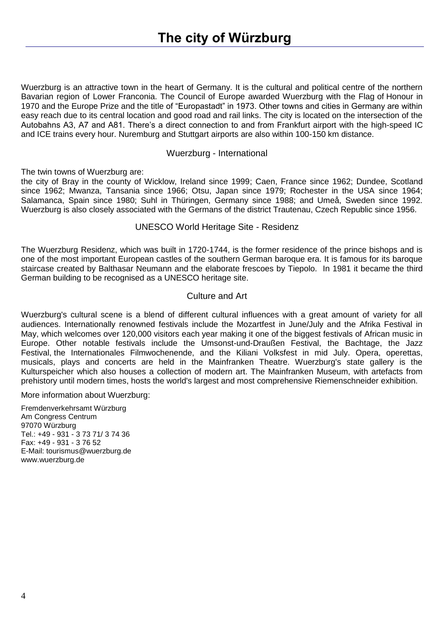Wuerzburg is an attractive town in the heart of Germany. It is the cultural and political centre of the northern Bavarian region of Lower Franconia. The Council of Europe awarded Wuerzburg with the Flag of Honour in 1970 and the Europe Prize and the title of "Europastadt" in 1973. Other towns and cities in Germany are within easy reach due to its central location and good road and rail links. The city is located on the intersection of the Autobahns A3, A7 and A81. There's a direct connection to and from Frankfurt airport with the high-speed IC and ICE trains every hour. Nuremburg and Stuttgart airports are also within 100-150 km distance.

#### Wuerzburg - International

The twin towns of Wuerzburg are:

the city of Bray in the county of Wicklow, Ireland since 1999; Caen, France since 1962; Dundee, Scotland since 1962; Mwanza, Tansania since 1966; Otsu, Japan since 1979; Rochester in the USA since 1964; Salamanca, Spain since 1980; Suhl in Thüringen, Germany since 1988; and Umeå, Sweden since 1992. Wuerzburg is also closely associated with the Germans of the district Trautenau, Czech Republic since 1956.

#### UNESCO World Heritage Site - Residenz

The Wuerzburg Residenz, which was built in 1720-1744, is the former residence of the prince bishops and is one of the most important European castles of the southern German baroque era. It is famous for its baroque staircase created by Balthasar Neumann and the elaborate frescoes by Tiepolo. In 1981 it became the third German building to be recognised as a UNESCO heritage site.

#### Culture and Art

Wuerzburg's cultural scene is a blend of different cultural influences with a great amount of variety for all audiences. Internationally renowned festivals include the Mozartfest in June/July and the Afrika Festival in May, which welcomes over 120,000 visitors each year making it one of the biggest festivals of African music in Europe. Other notable festivals include the Umsonst-und-Draußen Festival, the Bachtage, the Jazz Festival, the Internationales Filmwochenende, and the Kiliani Volksfest in mid July. Opera, operettas, musicals, plays and concerts are held in the Mainfranken Theatre. Wuerzburg's state gallery is the Kulturspeicher which also houses a collection of modern art. The Mainfranken Museum, with artefacts from prehistory until modern times, hosts the world's largest and most comprehensive Riemenschneider exhibition.

More information about Wuerzburg:

Fremdenverkehrsamt Würzburg Am Congress Centrum 97070 Würzburg Tel.: +49 - 931 - 3 73 71/ 3 74 36 Fax: +49 - 931 - 3 76 52 E-Mail: tourismus@wuerzburg.de www.wuerzburg.de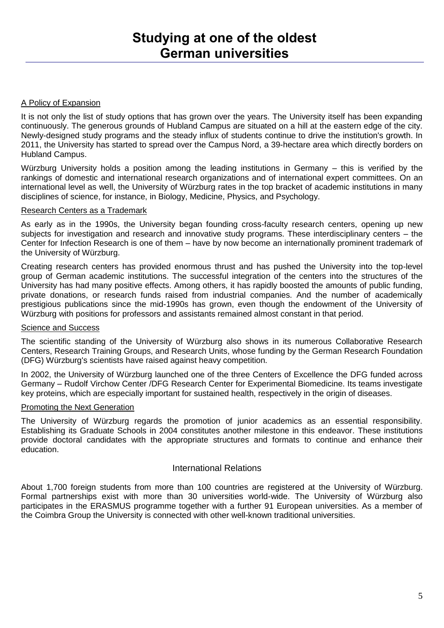#### A Policy of Expansion

It is not only the list of study options that has grown over the years. The University itself has been expanding continuously. The generous grounds of Hubland Campus are situated on a hill at the eastern edge of the city. Newly-designed study programs and the steady influx of students continue to drive the institution's growth. In 2011, the University has started to spread over the Campus Nord, a 39-hectare area which directly borders on Hubland Campus.

Würzburg University holds a position among the leading institutions in Germany – this is verified by the rankings of domestic and international research organizations and of international expert committees. On an international level as well, the University of Würzburg rates in the top bracket of academic institutions in many disciplines of science, for instance, in Biology, Medicine, Physics, and Psychology.

#### Research Centers as a Trademark

As early as in the 1990s, the University began founding cross-faculty research centers, opening up new subjects for investigation and research and innovative study programs. These interdisciplinary centers – the Center for Infection Research is one of them – have by now become an internationally prominent trademark of the University of Würzburg.

Creating research centers has provided enormous thrust and has pushed the University into the top-level group of German academic institutions. The successful integration of the centers into the structures of the University has had many positive effects. Among others, it has rapidly boosted the amounts of public funding, private donations, or research funds raised from industrial companies. And the number of academically prestigious publications since the mid-1990s has grown, even though the endowment of the University of Würzburg with positions for professors and assistants remained almost constant in that period.

#### Science and Success

The scientific standing of the University of Würzburg also shows in its numerous Collaborative Research Centers, Research Training Groups, and Research Units, whose funding by the German Research Foundation (DFG) Würzburg's scientists have raised against heavy competition.

In 2002, the University of Würzburg launched one of the three Centers of Excellence the DFG funded across Germany – Rudolf Virchow Center /DFG Research Center for Experimental Biomedicine. Its teams investigate key proteins, which are especially important for sustained health, respectively in the origin of diseases.

#### Promoting the Next Generation

The University of Würzburg regards the promotion of junior academics as an essential responsibility. Establishing its Graduate Schools in 2004 constitutes another milestone in this endeavor. These institutions provide doctoral candidates with the appropriate structures and formats to continue and enhance their education.

#### International Relations

About 1,700 foreign students from more than 100 countries are registered at the University of Würzburg. Formal partnerships exist with more than 30 universities world-wide. The University of Würzburg also participates in the ERASMUS programme together with a further 91 European universities. As a member of the Coimbra Group the University is connected with other well-known traditional universities.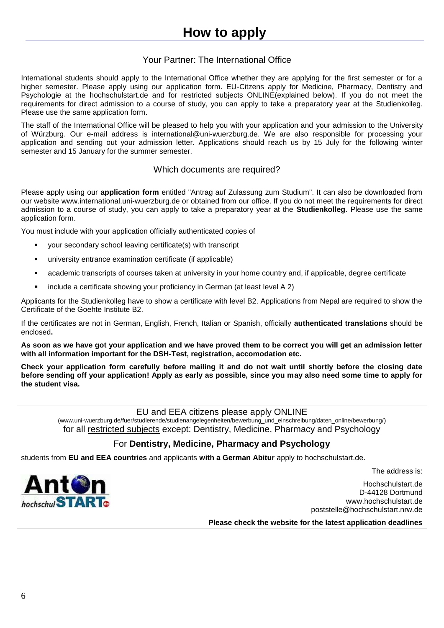## **How to apply**

### Your Partner: The International Office

International students should apply to the International Office whether they are applying for the first semester or for a higher semester. Please apply using our application form. EU-Citzens apply for Medicine, Pharmacy, Dentistry and Psychologie at the hochschulstart.de and for restricted subjects ONLINE(explained below). If you do not meet the requirements for direct admission to a course of study, you can apply to take a preparatory year at the [Studienkolleg.](http://www.uni-wuerzburg.de/?id=37563) Please use the same application form.

The staff of the International Office will be pleased to help you with your application and your admission to the University of Würzburg. Our e-mail address is international@uni-wuerzburg.de. We are also responsible for processing your application and sending out your admission letter. Applications should reach us by 15 July for the following winter semester and 15 January for the summer semester.

#### Which documents are required?

Please apply using our **application form** entitled "Antrag auf Zulassung zum Studium". It can also be downloaded from our website www.international.uni-wuerzburg.de or obtained from our office. If you do not meet the requirements for direct admission to a course of study, you can apply to take a preparatory year at the **Studienkolleg**. Please use the same application form.

You must include with your application officially authenticated copies of

- your secondary school leaving certificate(s) with transcript
- university entrance examination certificate (if applicable)
- academic transcripts of courses taken at university in your home country and, if applicable, degree certificate
- include a certificate showing your proficiency in German (at least level A 2)

Applicants for the Studienkolleg have to show a certificate with level B2. Applications from Nepal are required to show the Certificate of the Goehte Institute B2.

If the certificates are not in German, English, French, Italian or Spanish, officially **authenticated translations** should be enclosed**.**

**As soon as we have got your application and we have proved them to be correct you will get an admission letter with all information important for the DSH-Test, registration, accomodation etc.**

**Check your application form carefully before mailing it and do not wait until shortly before the closing date before sending off your application! Apply as early as possible, since you may also need some time to apply for the student visa.**

EU and EEA citizens please apply ONLINE

(www.uni-wuerzburg.de/fuer/studierende/studienangelegenheiten/bewerbung\_und\_einschreibung/daten\_online/bewerbung/) for all restricted subjects except: Dentistry, Medicine, Pharmacy and Psychology

### For **Dentistry, Medicine, Pharmacy and Psychology**

students from **EU and EEA countries** and applicants **with a German Abitur** apply to hochschulstart.de.

The address is:



Hochschulstart.de D-44128 Dortmund www.hochschulstart.de poststelle@hochschulstart.nrw.de

**Please check the website for the latest application deadlines**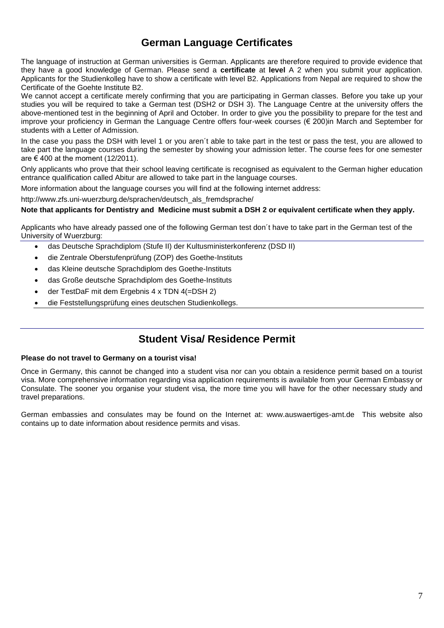### **German Language Certificates**

The language of instruction at German universities is German. Applicants are therefore required to provide evidence that they have a good knowledge of German. Please send a **certificate** at **level** A 2 when you submit your application. Applicants for the Studienkolleg have to show a certificate with level B2. Applications from Nepal are required to show the Certificate of the Goehte Institute B2.

We cannot accept a certificate merely confirming that you are participating in German classes. Before you take up your studies you will be required to take a German test (DSH2 or DSH 3). The Language Centre at the university offers the above-mentioned test in the beginning of April and October. In order to give you the possibility to prepare for the test and improve your proficiency in German the Language Centre offers four-week courses (€ 200)in March and September for students with a Letter of Admission.

In the case you pass the DSH with level 1 or you aren´t able to take part in the test or pass the test, you are allowed to take part the language courses during the semester by showing your admission letter. The course fees for one semester are € 400 at the moment (12/2011).

Only applicants who prove that their school leaving certificate is recognised as equivalent to the German higher education entrance qualification called Abitur are allowed to take part in the language courses.

More information about the language courses you will find at the following internet address:

http://www.zfs.uni-wuerzburg.de/sprachen/deutsch\_als\_fremdsprache/

#### **Note that applicants for Dentistry and Medicine must submit a DSH 2 or equivalent certificate when they apply.**

Applicants who have already passed one of the following German test don´t have to take part in the German test of the University of Wuerzburg:

- das Deutsche Sprachdiplom (Stufe II) der Kultusministerkonferenz (DSD II)
- die Zentrale Oberstufenprüfung (ZOP) des Goethe-Instituts
- das Kleine deutsche Sprachdiplom des Goethe-Instituts
- das Große deutsche Sprachdiplom des Goethe-Instituts
- der TestDaF mit dem Ergebnis 4 x TDN 4(=DSH 2)
- die Feststellungsprüfung eines deutschen Studienkollegs.

### **Student Visa/ Residence Permit**

#### **Please do not travel to Germany on a tourist visa!**

Once in Germany, this cannot be changed into a student visa nor can you obtain a residence permit based on a tourist visa. More comprehensive information regarding visa application requirements is available from your German Embassy or Consulate. The sooner you organise your student visa, the more time you will have for the other necessary study and travel preparations.

German embassies and consulates may be found on the Internet at: www.auswaertiges-amt.de This website also contains up to date information about residence permits and visas.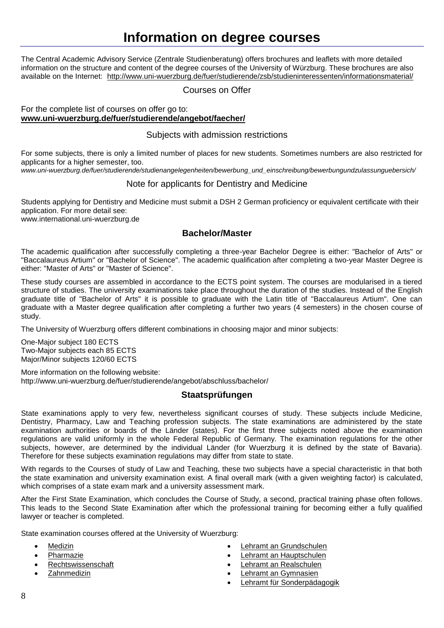## **Information on degree courses**

The Central Academic Advisory Service (Zentrale Studienberatung) offers brochures and leaflets with more detailed information on the structure and content of the degree courses of the University of Würzburg. These brochures are also available on the Internet: <http://www.uni-wuerzburg.de/fuer/studierende/zsb/studieninteressenten/informationsmaterial/>

#### Courses on Offer

#### For the complete list of courses on offer go to: **[www.uni-wuerzburg.de/fuer/studierende/angebot/faecher/](file:///C:/Dokumente%20und%20Einstellungen/Lokale%20Einstellungen/Temp/www.uni-wuerzburg.de/fuer/studierende/angebot/faecher/)**

#### Subjects with admission restrictions

For some subjects, there is only a limited number of places for new students. Sometimes numbers are also restricted for applicants for a higher semester, too.

*www.uni-wuerzburg.de/fuer/studierende/studienangelegenheiten/bewerbung\_und\_einschreibung/bewerbungundzulassunguebersich/*

#### Note for applicants for Dentistry and Medicine

Students applying for Dentistry and Medicine must submit a DSH 2 German proficiency or equivalent certificate with their application. For more detail see:

www.international.uni-wuerzburg.de

#### **Bachelor/Master**

The academic qualification after successfully completing a three-year Bachelor Degree is either: "Bachelor of Arts" or "Baccalaureus Artium" or "Bachelor of Science". The academic qualification after completing a two-year Master Degree is either: "Master of Arts" or "Master of Science".

These study courses are assembled in accordance to the ECTS point system. The courses are modularised in a tiered structure of studies. The university examinations take place throughout the duration of the studies. Instead of the English graduate title of "Bachelor of Arts" it is possible to graduate with the Latin title of "Baccalaureus Artium". One can graduate with a Master degree qualification after completing a further two years (4 semesters) in the chosen course of study.

The University of Wuerzburg offers different combinations in choosing major and minor subjects:

One-Major subject 180 ECTS Two-Major subjects each 85 ECTS Major/Minor subjects 120/60 ECTS

More information on the following website: http://www.uni-wuerzburg.de/fuer/studierende/angebot/abschluss/bachelor/

#### **Staatsprüfungen**

State examinations apply to very few, nevertheless significant courses of study. These subjects include Medicine, Dentistry, Pharmacy, Law and Teaching profession subjects. The state examinations are administered by the state examination authorities or boards of the Länder (states). For the first three subjects noted above the examination regulations are valid uniformly in the whole Federal Republic of Germany. The examination regulations for the other subjects, however, are determined by the individual Länder (for Wuerzburg it is defined by the state of Bavaria). Therefore for these subjects examination regulations may differ from state to state.

With regards to the Courses of study of Law and Teaching, these two subjects have a special characteristic in that both the state examination and university examination exist. A final overall mark (with a given weighting factor) is calculated, which comprises of a state exam mark and a university assessment mark.

After the First State Examination, which concludes the Course of Study, a second, practical training phase often follows. This leads to the Second State Examination after which the professional training for becoming either a fully qualified lawyer or teacher is completed.

State examination courses offered at the University of Wuerzburg:

- [Medizin](http://www.uni-wuerzburg.de/fuer/studierende/angebot/faecher/medizin/)
- [Pharmazie](http://www.uni-wuerzburg.de/fuer/studierende/angebot/faecher/pharmazie/)
- [Rechtswissenschaft](http://www.uni-wuerzburg.de/fuer/studierende/angebot/faecher/jura/)
- **[Zahnmedizin](http://www.uni-wuerzburg.de/fuer/studierende/angebot/faecher/zahnmedizin/)**
- [Lehramt an Grundschulen](http://www.uni-wuerzburg.de/fuer/studierende/angebot/abschluss/stex/la_gs/)
- [Lehramt an Hauptschulen](http://www.uni-wuerzburg.de/fuer/studierende/angebot/abschluss/stex/ls_hs/)
- [Lehramt an Realschulen](http://www.uni-wuerzburg.de/fuer/studierende/angebot/abschluss/stex/la_rs/)
- [Lehramt an Gymnasien](http://www.uni-wuerzburg.de/fuer/studierende/angebot/abschluss/stex/la_gy/)
- [Lehramt für Sonderpädagogik](http://www.uni-wuerzburg.de/fuer/studierende/angebot/abschluss/stex/la_so/)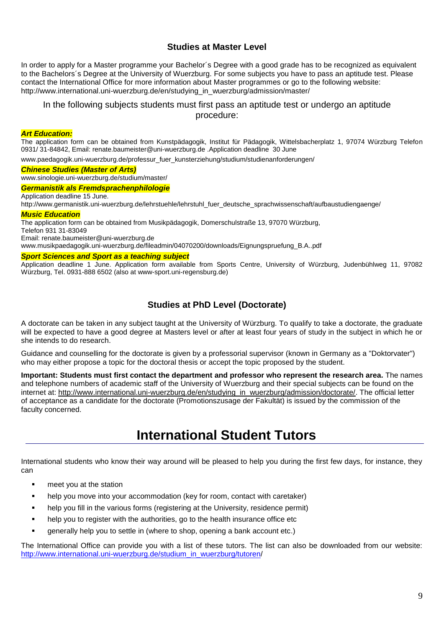#### **Studies at Master Level**

In order to apply for a Master programme your Bachelor´s Degree with a good grade has to be recognized as equivalent to the Bachelors´s Degree at the University of Wuerzburg. For some subjects you have to pass an aptitude test. Please contact the International Office for more information about Master programmes or go to the following website: http://www.international.uni-wuerzburg.de/en/studying\_in\_wuerzburg/admission/master/

#### In the following subjects students must first pass an aptitude test or undergo an aptitude procedure:

#### *Art Education:*

The application form can be obtained from Kunstpädagogik, Institut für Pädagogik, Wittelsbacherplatz 1, 97074 Würzburg Telefon 0931/ 31-84842, Email: [renate.baumeister@uni-wuerzburg.de](mailto:renate.baumeister@uni-wuerzburg.de) .Application deadline 30 June

www.paedagogik.uni-wuerzburg.de/professur\_fuer\_kunsterziehung/studium/studienanforderungen/

#### *Chinese Studies (Master of Arts)*

www.sinologie.uni-wuerzburg.de/studium/master/

#### *Germanistik als Fremdsprachenphilologie*

Application deadline 15 June.

http://www.germanistik.uni-wuerzburg.de/lehrstuehle/lehrstuhl\_fuer\_deutsche\_sprachwissenschaft/aufbaustudiengaenge/

#### *Music Education*

The application form can be obtained from Musikpädagogik, Domerschulstraße 13, 97070 Würzburg, Telefon 931 31-83049 Email: renate.baumeister@uni-wuerzburg.de www.musikpaedagogik.uni-wuerzburg.de/fileadmin/04070200/downloads/Eignungspruefung\_B.A..pdf

#### *Sport Sciences and Sport as a teaching subject*

Application deadline 1 June. Application form available from Sports Centre, University of Würzburg, Judenbühlweg 11, 97082 Würzburg, Tel. 0931-888 6502 (also at www-sport.uni-regensburg.de)

#### **Studies at PhD Level (Doctorate)**

A doctorate can be taken in any subject taught at the University of Würzburg. To qualify to take a doctorate, the graduate will be expected to have a good degree at Masters level or after at least four years of study in the subject in which he or she intends to do research.

Guidance and counselling for the doctorate is given by a professorial supervisor (known in Germany as a "Doktorvater") who may either propose a topic for the doctoral thesis or accept the topic proposed by the student.

**Important: Students must first contact the department and professor who represent the research area.** The names and telephone numbers of academic staff of the University of Wuerzburg and their special subjects can be found on the internet at: [http://www.international.uni-wuerzburg.de/en/studying\\_in\\_wuerzburg/admission/doctorate/.](http://www.international.uni-wuerzburg.de/en/studying_in_wuerzburg/admission/doctorate/) The official letter of acceptance as a candidate for the doctorate (Promotionszusage der Fakultät) is issued by the commission of the faculty concerned.

## **International Student Tutors**

International students who know their way around will be pleased to help you during the first few days, for instance, they can

- **n** meet you at the station
- help you move into your accommodation (key for room, contact with caretaker)
- help you fill in the various forms (registering at the University, residence permit)
- help you to register with the authorities, go to the health insurance office etc
- generally help you to settle in (where to shop, opening a bank account etc.)

The International Office can provide you with a list of these tutors. The list can also be downloaded from our website: [http://www.international.uni-wuerzburg.de/studium\\_in\\_wuerzburg/tutoren/](http://www.international.uni-wuerzburg.de/studium_in_wuerzburg/tutoren/)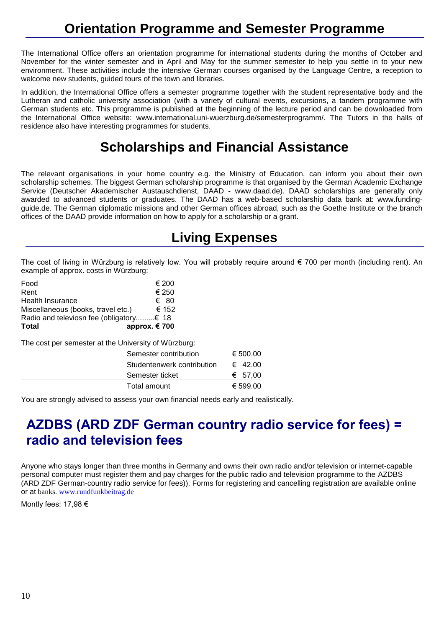## **Orientation Programme and Semester Programme**

The International Office offers an orientation programme for international students during the months of October and November for the winter semester and in April and May for the summer semester to help you settle in to your new environment. These activities include the intensive German courses organised by the Language Centre, a reception to welcome new students, guided tours of the town and libraries.

In addition, the International Office offers a semester programme together with the student representative body and the Lutheran and catholic university association (with a variety of cultural events, excursions, a tandem programme with German students etc. This programme is published at the beginning of the lecture period and can be downloaded from the International Office website: www.international.uni-wuerzburg.de/semesterprogramm/. The Tutors in the halls of residence also have interesting programmes for students.

## **Scholarships and Financial Assistance**

The relevant organisations in your home country e.g. the Ministry of Education, can inform you about their own scholarship schemes. The biggest German scholarship programme is that organised by the German Academic Exchange Service (Deutscher Akademischer Austauschdienst, DAAD - www.daad.de). DAAD scholarships are generally only awarded to advanced students or graduates. The DAAD has a web-based scholarship data bank at: www.fundingguide.de. The German diplomatic missions and other German offices abroad, such as the Goethe Institute or the branch offices of the DAAD provide information on how to apply for a scholarship or a grant.

## **Living Expenses**

The cost of living in Würzburg is relatively low. You will probably require around  $\epsilon$  700 per month (including rent). An example of approx. costs in Würzburg:

| Total                                   | approx. €700 |
|-----------------------------------------|--------------|
| Radio and televiosn fee (obligatory€ 18 |              |
| Miscellaneous (books, travel etc.)      | € 152        |
| <b>Health Insurance</b>                 | € 80         |
| Rent                                    | € 250        |
| Food                                    | € 200        |

The cost per semester at the University of Würzburg:

| Semester contribution      | € 500.00 |
|----------------------------|----------|
| Studentenwerk contribution | € 42.00  |
| Semester ticket            | € 57.00  |
| Total amount               | € 599.00 |

You are strongly advised to assess your own financial needs early and realistically.

## **AZDBS (ARD ZDF German country radio service for fees) = radio and television fees**

Anyone who stays longer than three months in Germany and owns their own radio and/or television or internet-capable personal computer must register them and pay charges for the public radio and television programme to the AZDBS (ARD ZDF German-country radio service for fees)). Forms for registering and cancelling registration are available [online](http://www.rundfunkbeitrag.de/) or at banks. [www.rundfunkbeitrag.de](http://www.rundfunkbeitrag.de/) 

Montly fees: 17,98 €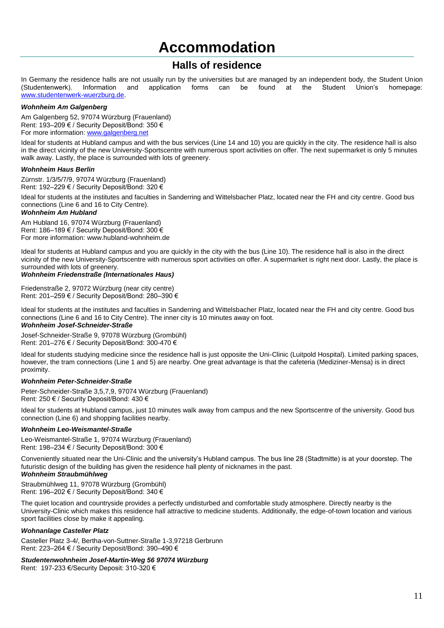## **Accommodation**

### **Halls of residence**

In Germany the residence halls are not usually run by the universities but are managed by an independent body, the Student Union (Student union and application forms can be found at the Student Union's homepage: (Studentenwerk). Information and application forms can be found at the Student Union's homepage: [www.studentenwerk-wuerzburg.de.](http://www.studentenwerk-wuerzburg.de/)

#### *Wohnheim Am Galgenberg*

Am Galgenberg 52, 97074 Würzburg (Frauenland) Rent: 193–209 € / Security Deposit/Bond: 350 € For more information: [www.galgenberg.net](http://www.galgenberg.net/)

Ideal for students at Hubland campus and with the bus services (Line 14 and 10) you are quickly in the city. The residence hall is also in the direct vicinity of the new University-Sportscentre with numerous sport activities on offer. The next supermarket is only 5 minutes walk away. Lastly, the place is surrounded with lots of greenery.

#### *Wohnheim Haus Berlin*

Zürnstr. 1/3/5/7/9, 97074 Würzburg (Frauenland) Rent: 192–229 € / Security Deposit/Bond: 320 €

Ideal for students at the institutes and faculties in Sanderring and Wittelsbacher Platz, located near the FH and city centre. Good bus connections (Line 6 and 16 to City Centre).

#### *Wohnheim Am Hubland*

Am Hubland 16, 97074 Würzburg (Frauenland) Rent: 186–189 € / Security Deposit/Bond: 300 € For more information: [www.hubland-wohnheim.de](http://www.hubland-wohnheim.de/)

Ideal for students at Hubland campus and you are quickly in the city with the bus (Line 10). The residence hall is also in the direct vicinity of the new University-Sportscentre with numerous sport activities on offer. A supermarket is right next door. Lastly, the place is surrounded with lots of greenery.

#### *Wohnheim Friedenstraße (Internationales Haus)*

Friedenstraße 2, 97072 Würzburg (near city centre) Rent: 201–259 € / Security Deposit/Bond: 280–390 €

Ideal for students at the institutes and faculties in Sanderring and Wittelsbacher Platz, located near the FH and city centre. Good bus connections (Line 6 and 16 to City Centre). The inner city is 10 minutes away on foot.

#### *Wohnheim Josef-Schneider-Straße*

Josef-Schneider-Straße 9, 97078 Würzburg (Grombühl) Rent: 201–276 € / Security Deposit/Bond: 300-470 €

Ideal for students studying medicine since the residence hall is just opposite the Uni-Clinic (Luitpold Hospital). Limited parking spaces, however, the tram connections (Line 1 and 5) are nearby. One great advantage is that the cafeteria (Mediziner-Mensa) is in direct proximity.

#### *Wohnheim Peter-Schneider-Straße*

Peter-Schneider-Straße 3,5,7,9, 97074 Würzburg (Frauenland) Rent: 250 € / Security Deposit/Bond: 430 €

Ideal for students at Hubland campus, just 10 minutes walk away from campus and the new Sportscentre of the university. Good bus connection (Line 6) and shopping facilities nearby.

#### *Wohnheim Leo-Weismantel-Straße*

Leo-Weismantel-Straße 1, 97074 Würzburg (Frauenland) Rent: 198–234 € / Security Deposit/Bond: 300 €

Conveniently situated near the Uni-Clinic and the university's Hubland campus. The bus line 28 (Stadtmitte) is at your doorstep. The futuristic design of the building has given the residence hall plenty of nicknames in the past.

#### *Wohnheim Straubmühlweg*

Straubmühlweg 11, 97078 Würzburg (Grombühl) Rent: 196–202 € / Security Deposit/Bond: 340 €

The quiet location and countryside provides a perfectly undisturbed and comfortable study atmosphere. Directly nearby is the University-Clinic which makes this residence hall attractive to medicine students. Additionally, the edge-of-town location and various sport facilities close by make it appealing.

#### *Wohnanlage Casteller Platz*

Casteller Platz 3-4/, Bertha-von-Suttner-Straße 1-3,97218 Gerbrunn Rent: 223–264 € / Security Deposit/Bond: 390–490 €

*Studentenwohnheim Josef-Martin-Weg 56 97074 Würzburg*

Rent: 197-233 €/Security Deposit: 310-320 €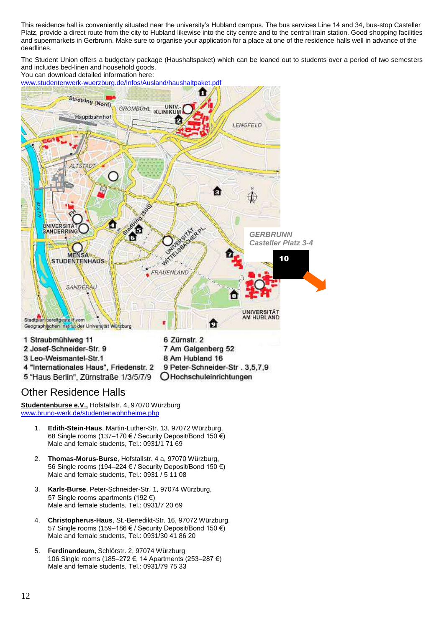This residence hall is conveniently situated near the university's Hubland campus. The bus services Line 14 and 34, bus-stop Casteller Platz, provide a direct route from the city to Hubland likewise into the city centre and to the central train station. Good shopping facilities and supermarkets in Gerbrunn. Make sure to organise your application for a place at one of the residence halls well in advance of the deadlines.

The Student Union offers a budgetary package (Haushaltspaket) which can be loaned out to students over a period of two semesters and includes bed-linen and household goods. You can download detailed information here:

Stadtring (Nord) **UNIV.**<br>KLINIKUN **GROMBÜHL** Hauptbahnhof LENGFELD **ALTSTADT** û **UNIVERSIT** SANDERRING *GERBRUNN Casteller Platz 3-4* **MENS** 10**STUDENTENHAUS** FRAUENLAND SANDERAL C UNIVERSITÄT<br>AM HUBLAND Stadtplan bereitgestellt vom n Geographischen Institut der Universität Würzburg 1 Straubmühlweg 11 6 Zürnstr. 2 2 Josef-Schneider-Str. 9 7 Am Galgenberg 52 3 Leo-Weismantel-Str.1 8 Am Hubland 16 4 "Internationales Haus", Friedenstr. 2 9 Peter-Schneider-Str. 3,5,7,9 5 "Haus Berlin", Zürnstraße 1/3/5/7/9 OHochschuleinrichtungen

[www.studentenwerk-wuerzburg.de/Infos/Ausland/haushaltpaket.pdf](file://zv.uni-wuerzburg.de/userdaten/users/abt2/ref_2-5/Formulare/www.studentenwerk-wuerzburg.de/Infos/Ausland/haushaltpaket.pdf)

### Other Residence Halls

**Studentenburse e.V.,** Hofstallstr. 4, 97070 Würzburg [www.bruno-werk.de/studentenwohnheime.php](file://zv.uni-wuerzburg.de/userdaten/users/abt2/ref_2-5/Formulare/www.bruno-werk.de/studentenwohnheime.php)

- 1. **Edith-Stein-Haus**, Martin-Luther-Str. 13, 97072 Würzburg, 68 Single rooms (137–170 € / Security Deposit/Bond 150 €) Male and female students, Tel.: 0931/1 71 69
- 2. **Thomas-Morus-Burse**, Hofstallstr. 4 a, 97070 Würzburg, 56 Single rooms (194–224 € / Security Deposit/Bond 150 €) Male and female students, Tel.: 0931 / 5 11 08
- 3. **Karls-Burse**, Peter-Schneider-Str. 1, 97074 Würzburg, 57 Single rooms apartments (192 €) Male and female students, Tel.: 0931/7 20 69
- 4. **Christopherus-Haus**, St.-Benedikt-Str. 16, 97072 Würzburg, 57 Single rooms (159–186 € / Security Deposit/Bond 150 €) Male and female students, Tel.: 0931/30 41 86 20
- 5. **Ferdinandeum,** Schlörstr. 2, 97074 Würzburg 106 Single rooms (185–272 €, 14 Apartments (253–287 €) Male and female students, Tel.: 0931/79 75 33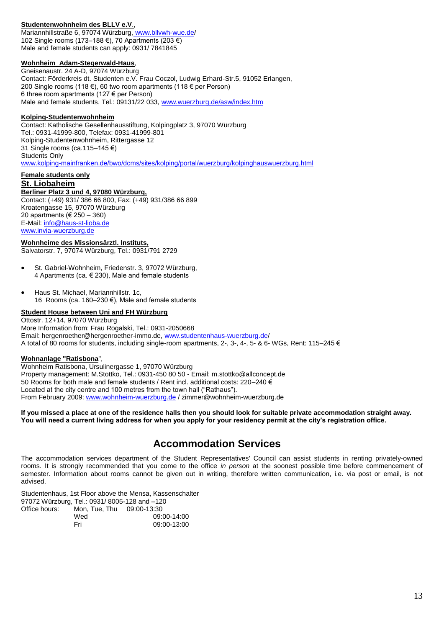#### **Studentenwohnheim des BLLV e.V**.,

Mariannhillstraße 6, 97074 Würzburg, [www.bllvwh-wue.de/](http://www.bllvwh-wue.de/) 102 Single rooms (173–188 €), 70 Apartments (203 €) Male and female students can apply: 0931/ 7841845

#### **Wohnheim Adam-Stegerwald-Haus**,

Gneisenaustr. 24 A-D, 97074 Würzburg Contact: Förderkreis dt. Studenten e.V. Frau Coczol, Ludwig Erhard-Str.5, 91052 Erlangen, 200 Single rooms (118 €), 60 two room apartments (118 € per Person) 6 three room apartments (127 € per Person) Male and female students, Tel.: 09131/22 033, [www.wuerzburg.de/asw/index.htm](file://zv.uni-wuerzburg.de/userdaten/users/abt2/ref_2-5/Formulare/www.wuerzburg.de/asw/index.htm)

#### **Kolping-Studentenwohnheim**

Contact: Katholische Gesellenhausstiftung, Kolpingplatz 3, 97070 Würzburg Tel.: 0931-41999-800, Telefax: 0931-41999-801 Kolping-Studentenwohnheim, Rittergasse 12 31 Single rooms (ca.115–145 €) Students Only [www.kolping-mainfranken.de/bwo/dcms/sites/kolping/portal/wuerzburg/kolpinghauswuerzburg.html](file://zv.uni-wuerzburg.de/userdaten/users/abt2/ref_2-5/Formulare/www.kolping-mainfranken.de/bwo/dcms/sites/kolping/portal/wuerzburg/kolpinghauswuerzburg.html)

#### **Female students only St. Liobaheim**

#### **Berliner Platz 3 und 4, 97080 Würzburg,**

Contact: (+49) 931/ 386 66 800, Fax: (+49) 931/386 66 899 Kroatengasse 15, 97070 Würzburg 20 apartments (€ 250 – 360) E-Mail: [info@haus-st-lioba.de](mailto:info@haus-st-lioba.de) [www.invia-wuerzburg.de](http://www.invia-wuerzburg.de/)

#### **Wohnheime des Missionsärztl. Instituts,**

Salvatorstr. 7, 97074 Würzburg, Tel.: 0931/791 2729

- St. Gabriel-Wohnheim, Friedenstr. 3, 97072 Würzburg, 4 Apartments (ca. € 230), Male and female students
- Haus St. Michael, Mariannhillstr. 1c, 16 Rooms (ca. 160–230 €), Male and female students

**Student House between Uni and FH Würzburg** Ottostr. 12+14, 97070 Würzburg More Information from: Frau Rogalski, Tel.: 0931-2050668 Email: hergenroether@hergenroether-immo.de[, www.studentenhaus-wuerzburg.de/](http://www.studentenhaus-wuerzburg.de/) A total of 80 rooms for students, including single-room apartments, 2-, 3-, 4-, 5- & 6- WGs, Rent: 115–245 €

#### **Wohnanlage "Ratisbona**",

Wohnheim Ratisbona, Ursulinergasse 1, 97070 Würzburg Property management: M.Stottko, Tel.: 0931-450 80 50 - Email: m.stottko@allconcept.de 50 Rooms for both male and female students / Rent incl. additional costs: 220–240 € Located at the city centre and 100 metres from the town hall ("Rathaus"). From February 2009: [www.wohnheim-wuerzburg.de](http://www.wohnheim-wuerzburg.de/) / zimmer@wohnheim-wuerzburg.de

**If you missed a place at one of the residence halls then you should look for suitable private accommodation straight away. You will need a current living address for when you apply for your residency permit at the city's registration office.**

### **Accommodation Services**

The accommodation services department of the Student Representatives' Council can assist students in renting privately-owned rooms. It is strongly recommended that you come to the office *in person* at the soonest possible time before commencement of semester. Information about rooms cannot be given out in writing, therefore written communication, i.e. via post or email, is not advised.

Studentenhaus, 1st Floor above the Mensa, Kassenschalter 97072 Würzburg, Tel.: 0931/ 8005-128 and –120 Office hours: Mon, Tue, Thu 09:00-13:30

| utice nours: | Mon. Tue. Thu | 09:00-13:30 |
|--------------|---------------|-------------|
|              | Wed           | 09:00-14:00 |
|              | Fri           | 09:00-13:00 |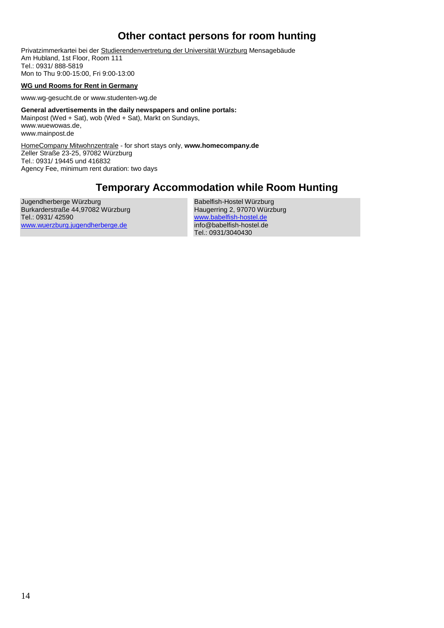### **Other contact persons for room hunting**

Privatzimmerkartei bei der [Studierendenvertretung](http://www.uni-wuerzburg.de/stuv) der Universität Würzburg Mensagebäude Am Hubland, 1st Floor, Room 111 Tel.: 0931/ 888-5819 Mon to Thu 9:00-15:00, Fri 9:00-13:00

#### **WG und Rooms for Rent in Germany**

www.wg-gesucht.de or www.studenten-wg.de

**General advertisements in the daily newspapers and online portals:** [Mainpost](http://www.mainpost.de/) (Wed + Sat), wob (Wed + Sat), Markt on Sundays, [www.wuewowas.de,](http://www.wuewowas.de/) [www.mainpost.de](http://www.mainpost.de/)

HomeCompany Mitwohnzentrale - for short stays only, **[www.homecompany.de](http://www.homecompany.de/)** Zeller Straße 23-25, 97082 Würzburg Tel.: 0931/ 19445 und 416832 Agency Fee, minimum rent duration: two days

### **Temporary Accommodation while Room Hunting**

Jugendherberge Würzburg Burkarderstraße 44,97082 Würzburg Tel.: 0931/ 42590 [www.wuerzburg.jugendherberge.de](http://www.wuerzburg.jugendherberge.de/)

Babelfish-Hostel Würzburg Haugerring 2, 97070 Würzburg [www.babelfish-hostel.de](http://www.babelfish-hostel.de/) info@babelfish-hostel.de Tel.: 0931/3040430